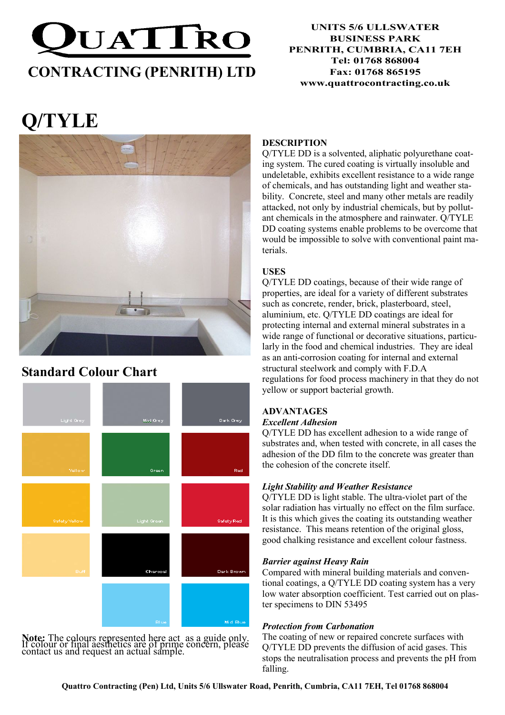

#### UNITS 5/6 ULLSWATER BUSINESS PARK PENRITH, CUMBRIA, CA11 7EH Tel: 01768 868004 Fax: 01768 865195 www.quattrocontracting.co.uk

# Q/TYLE



## Standard Colour Chart



Note: The colours represented here act as a guide only. If colour or final aesthetics are of prime concern, please contact us and request an actual sample.

#### **DESCRIPTION**

Q/TYLE DD is a solvented, aliphatic polyurethane coating system. The cured coating is virtually insoluble and undeletable, exhibits excellent resistance to a wide range of chemicals, and has outstanding light and weather stability. Concrete, steel and many other metals are readily attacked, not only by industrial chemicals, but by pollutant chemicals in the atmosphere and rainwater. Q/TYLE DD coating systems enable problems to be overcome that would be impossible to solve with conventional paint materials.

#### USES

Q/TYLE DD coatings, because of their wide range of properties, are ideal for a variety of different substrates such as concrete, render, brick, plasterboard, steel, aluminium, etc. Q/TYLE DD coatings are ideal for protecting internal and external mineral substrates in a wide range of functional or decorative situations, particularly in the food and chemical industries. They are ideal as an anti-corrosion coating for internal and external structural steelwork and comply with F.D.A regulations for food process machinery in that they do not yellow or support bacterial growth.

### ADVANTAGES

#### Excellent Adhesion

Q/TYLE DD has excellent adhesion to a wide range of substrates and, when tested with concrete, in all cases the adhesion of the DD film to the concrete was greater than the cohesion of the concrete itself.

#### Light Stability and Weather Resistance

Q/TYLE DD is light stable. The ultra-violet part of the solar radiation has virtually no effect on the film surface. It is this which gives the coating its outstanding weather resistance. This means retention of the original gloss, good chalking resistance and excellent colour fastness.

#### Barrier against Heavy Rain

Compared with mineral building materials and conventional coatings, a Q/TYLE DD coating system has a very low water absorption coefficient. Test carried out on plaster specimens to DIN 53495

#### Protection from Carbonation

The coating of new or repaired concrete surfaces with Q/TYLE DD prevents the diffusion of acid gases. This stops the neutralisation process and prevents the pH from falling.